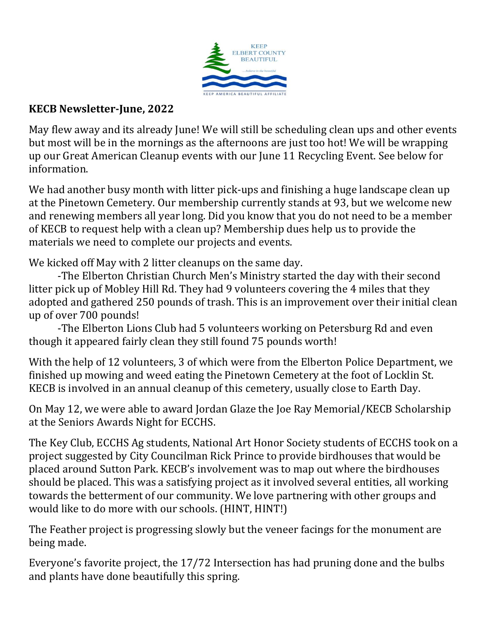

## **KECB Newsletter-June, 2022**

May flew away and its already June! We will still be scheduling clean ups and other events but most will be in the mornings as the afternoons are just too hot! We will be wrapping up our Great American Cleanup events with our June 11 Recycling Event. See below for information.

We had another busy month with litter pick-ups and finishing a huge landscape clean up at the Pinetown Cemetery. Our membership currently stands at 93, but we welcome new and renewing members all year long. Did you know that you do not need to be a member of KECB to request help with a clean up? Membership dues help us to provide the materials we need to complete our projects and events.

We kicked off May with 2 litter cleanups on the same day.

-The Elberton Christian Church Men's Ministry started the day with their second litter pick up of Mobley Hill Rd. They had 9 volunteers covering the 4 miles that they adopted and gathered 250 pounds of trash. This is an improvement over their initial clean up of over 700 pounds!

-The Elberton Lions Club had 5 volunteers working on Petersburg Rd and even though it appeared fairly clean they still found 75 pounds worth!

With the help of 12 volunteers, 3 of which were from the Elberton Police Department, we finished up mowing and weed eating the Pinetown Cemetery at the foot of Locklin St. KECB is involved in an annual cleanup of this cemetery, usually close to Earth Day.

On May 12, we were able to award Jordan Glaze the Joe Ray Memorial/KECB Scholarship at the Seniors Awards Night for ECCHS.

The Key Club, ECCHS Ag students, National Art Honor Society students of ECCHS took on a project suggested by City Councilman Rick Prince to provide birdhouses that would be placed around Sutton Park. KECB's involvement was to map out where the birdhouses should be placed. This was a satisfying project as it involved several entities, all working towards the betterment of our community. We love partnering with other groups and would like to do more with our schools. (HINT, HINT!)

The Feather project is progressing slowly but the veneer facings for the monument are being made.

Everyone's favorite project, the 17/72 Intersection has had pruning done and the bulbs and plants have done beautifully this spring.